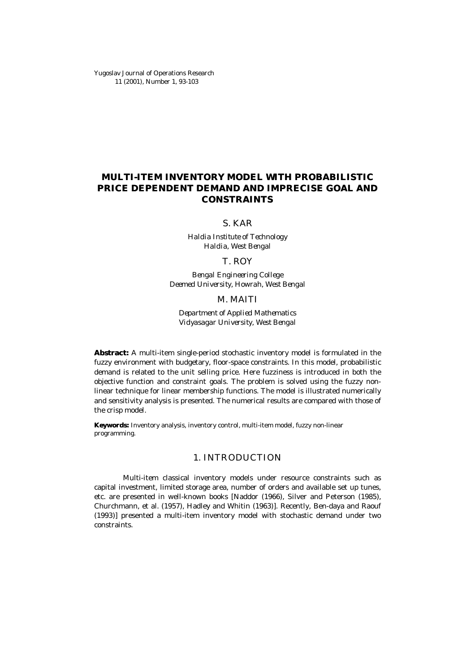Yugoslav Journal of Operations Research 11 (2001), Number 1, 93-103

# **MULTI-ITEM INVENTORY MODEL WITH PROBABILISTIC PRICE DEPENDENT DEMAND AND IMPRECISE GOAL AND CONSTRAINTS**

S. KAR

Haldia Institute of Technology Haldia, West Bengal

T. ROY

Bengal Engineering College Deemed University, Howrah, West Bengal

#### M. MAITI

Department of Applied Mathematics Vidyasagar University, West Bengal

**Abstract:** A multi-item single-period stochastic inventory model is formulated in the fuzzy environment with budgetary, floor-space constraints. In this model, probabilistic demand is related to the unit selling price. Here fuzziness is introduced in both the objective function and constraint goals. The problem is solved using the fuzzy nonlinear technique for linear membership functions. The model is illustrated numerically and sensitivity analysis is presented. The numerical results are compared with those of the crisp model.

**Keywords:** Inventory analysis, inventory control, multi-item model, fuzzy non-linear programming.

### 1. INTRODUCTION

Multi-item classical inventory models under resource constraints such as capital investment, limited storage area, number of orders and available set up tunes, etc. are presented in well-known books [Naddor (1966), Silver and Peterson (1985), Churchmann, et al. (1957), Hadley and Whitin (1963)]. Recently, Ben-daya and Raouf (1993)] presented a multi-item inventory model with stochastic demand under two constraints.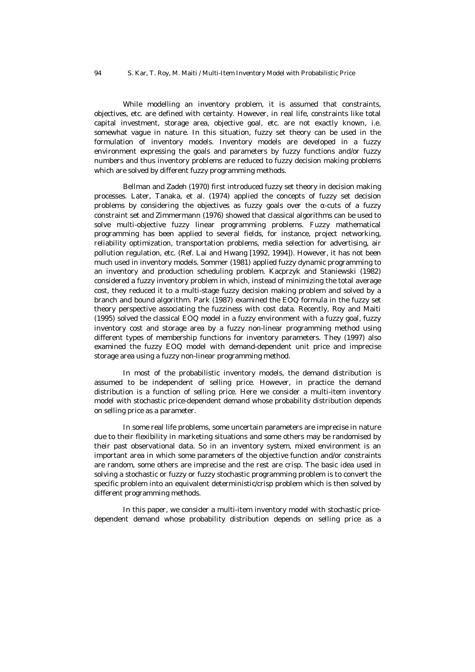While modelling an inventory problem, it is assumed that constraints, objectives, etc. are defined with certainty. However, in real life, constraints like total capital investment, storage area, objective goal, etc. are not exactly known, i.e. somewhat vague in nature. In this situation, fuzzy set theory can be used in the formulation of inventory models. Inventory models are developed in a fuzzy environment expressing the goals and parameters by fuzzy functions and/or fuzzy numbers and thus inventory problems are reduced to fuzzy decision making problems which are solved by different fuzzy programming methods.

Bellman and Zadeh (1970) first introduced fuzzy set theory in decision making processes. Later, Tanaka, et al. (1974) applied the concepts of fuzzy set decision problems by considering the objectives as fuzzy goals over the *a*-cuts of a fuzzy constraint set and Zimmermann (1976) showed that classical algorithms can be used to solve multi-objective fuzzy linear programming problems. Fuzzy mathematical programming has been applied to several fields, for instance, project networking, reliability optimization, transportation problems, media selection for advertising, air pollution regulation, etc. (Ref. Lai and Hwang [1992, 1994]). However, it has not been much used in inventory models. Sommer (1981) applied fuzzy dynamic programming to an inventory and production scheduling problem. Kacprzyk and Staniewski (1982) considered a fuzzy inventory problem in which, instead of minimizing the total average cost, they reduced it to a multi-stage fuzzy decision making problem and solved by a branch and bound algorithm. Park (1987) examined the EOQ formula in the fuzzy set theory perspective associating the fuzziness with cost data. Recently, Roy and Maiti (1995) solved the classical EOQ model in a fuzzy environment with a fuzzy goal, fuzzy inventory cost and storage area by a fuzzy non-linear programming method using different types of membership functions for inventory parameters. They (1997) also examined the fuzzy EOQ model with demand-dependent unit price and imprecise storage area using a fuzzy non-linear programming method.

In most of the probabilistic inventory models, the demand distribution is assumed to be independent of selling price. However, in practice the demand distribution is a function of selling price. Here we consider a multi-item inventory model with stochastic price-dependent demand whose probability distribution depends on selling price as a parameter.

In some real life problems, some uncertain parameters are imprecise in nature due to their flexibility in marketing situations and some others may be randomised by their past observational data. So in an inventory system, mixed environment is an important area in which some parameters of the objective function and/or constraints are random, some others are imprecise and the rest are crisp. The basic idea used in solving a stochastic or fuzzy or fuzzy stochastic programming problem is to convert the specific problem into an equivalent deterministic/crisp problem which is then solved by different programming methods.

In this paper, we consider a multi-item inventory model with stochastic pricedependent demand whose probability distribution depends on selling price as a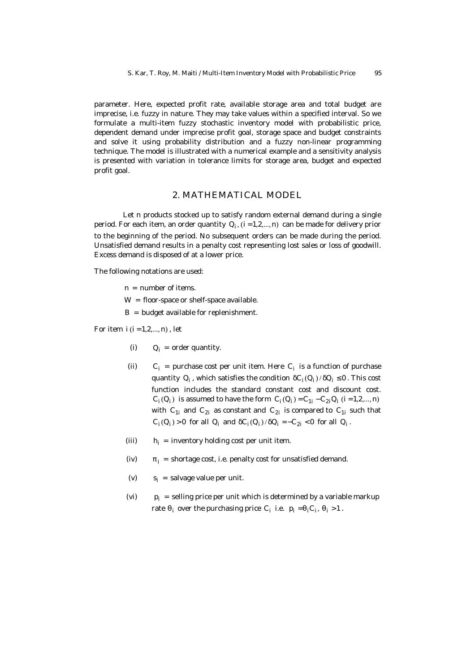parameter. Here, expected profit rate, available storage area and total budget are imprecise, i.e. fuzzy in nature. They may take values within a specified interval. So we formulate a multi-item fuzzy stochastic inventory model with probabilistic price, dependent demand under imprecise profit goal, storage space and budget constraints and solve it using probability distribution and a fuzzy non-linear programming technique. The model is illustrated with a numerical example and a sensitivity analysis is presented with variation in tolerance limits for storage area, budget and expected profit goal.

#### 2. MATHEMATICAL MODEL

Let n products stocked up to satisfy random external demand during a single period. For each item, an order quantity  $Q_i$ ,  $(i = 1, 2, ..., n)$  can be made for delivery prior to the beginning of the period. No subsequent orders can be made during the period. Unsatisfied demand results in a penalty cost representing lost sales or loss of goodwill. Excess demand is disposed of at a lower price.

The following notations are used:

- $n =$  number of items.
- $W =$  floor-space or shelf-space available.
- $B =$  budget available for replenishment.

For item  $i(i = 1, 2, \ldots, n)$ , let

- (i)  $Q_i$  = order quantity.
- $(ii)$ = purchase cost per unit item. Here  $C_i$  is a function of purchase quantity Q<sub>i</sub> , which satisfies the condition *d*C<sub>i</sub>(Q<sub>i</sub>)/*d*Q<sub>i</sub> ≤0. This cost function includes the standard constant cost and discount cost.  $C_i(Q_i)$  is assumed to have the form  $C_i(Q_i) = C_{1i} - C_{2i}Q_i$  (i = 1,2,..., n) with  $C_{1i}$  and  $C_{2i}$  as constant and  $C_{2i}$  is compared to  $C_{1i}$  such that  $C_i(Q_i) > 0$  for all  $Q_i$  and  $dC_i(Q_i)/dQ_i = -C_{2i} < 0$  for all  $Q_i$ .
- $(iii)$  $h_i =$  inventory holding cost per unit item.
- (iv)  $\mathbf{p}_i$  = shortage cost, i.e. penalty cost for unsatisfied demand.
- $(v)$  $s_i$  = salvage value per unit.
- $(vi)$  $p_i$  = selling price per unit which is determined by a variable markup rate  $\boldsymbol{q}_\mathrm{i}$  over the purchasing price C<sub>i</sub> i.e.  $\mathsf{p}_\mathrm{i} = \boldsymbol{q}_\mathrm{i} \mathsf{C}_\mathrm{i}$ ,  $\boldsymbol{q}_\mathrm{i} >$ 1.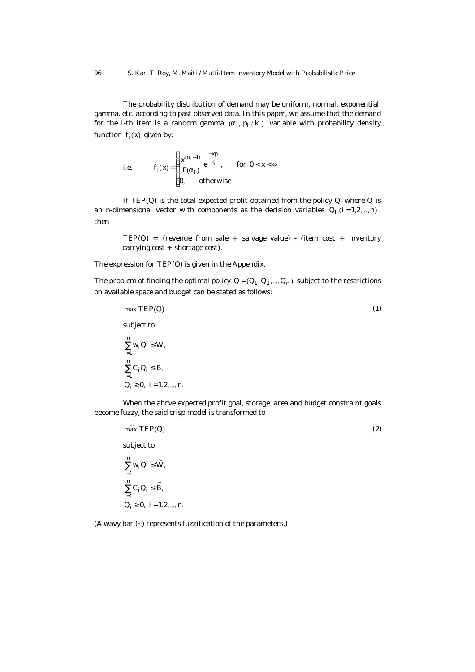The probability distribution of demand may be uniform, normal, exponential, gamma, etc. according to past observed data. In this paper, we assume that the demand for the i-th item is a random gamma  $(a_{\mathsf{i}}, \mathsf{p}_{\mathsf{i}} \, / \, \mathsf{k}_{\mathsf{i}})$  variable with probability density function  $f_i(x)$  given by:

i.e. 
$$
f_i(x) = \begin{cases} \frac{x^{(a_i-1)}}{\Gamma(a_i)} e^{-\frac{xp_i}{k_i}}, & \text{for } 0 < x < \infty \\ 0, & \text{otherwise} \end{cases}
$$

If  $TEP(Q)$  is the total expected profit obtained from the policy  $Q$ , where  $Q$  is an n-dimensional vector with components as the decision variables  $Q_i$  (i=1,2,...,n), then

 $TEP(Q) =$  (revenue from sale + salvage value) - (item cost + inventory carrying cost + shortage cost).

The expression for TEP(Q) is given in the Appendix.

The problem of finding the optimal policy  $Q = (Q_1, Q_2, ..., Q_n)$  subject to the restrictions on available space and budget can be stated as follows:

$$
\max \mathsf{TEP}(\mathsf{Q}) \tag{1}
$$

subject to

$$
\sum_{i=1}^{n} w_i O_i \le W,
$$
\n
$$
\sum_{i=1}^{n} C_i O_i \le B,
$$
\n
$$
O_i \ge 0, i = 1, 2, ..., n.
$$

When the above expected profit goal, storage area and budget constraint goals become fuzzy, the said crisp model is transformed to

## $m\tilde{a}x \, \text{TEP}(\text{Q})$  (2)

subject to

$$
\sum_{i=1}^{n} w_i O_i \leq \widetilde{W},
$$
  

$$
\sum_{i=1}^{n} C_i O_i \leq \widetilde{B},
$$
  

$$
Q_i \geq 0, i = 1, 2, ..., n.
$$

(A wavy bar (~) represents fuzzification of the parameters.)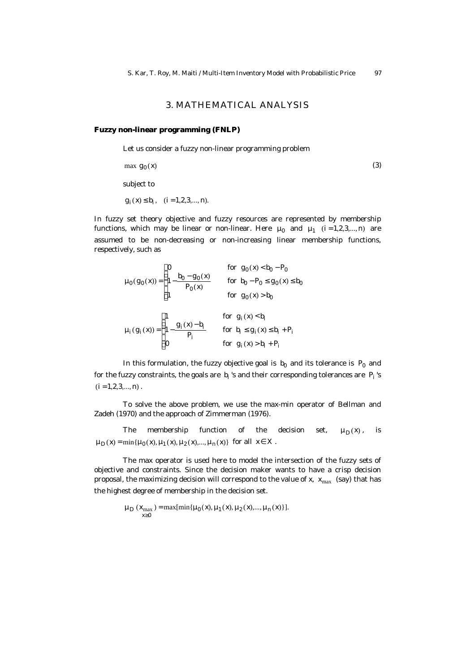## 3. MATHEMATICAL ANALYSIS

#### **Fuzzy non-linear programming (FNLP)**

Let us consider a fuzzy non-linear programming problem

$$
\max g_0(x)
$$
\nsubject to

\n
$$
g_i(x) \le b_i, \quad (i = 1, 2, 3, \dots, n).
$$

In fuzzy set theory objective and fuzzy resources are represented by membership functions, which may be linear or non-linear. Here  $m_0$  and  $m_1$  (i=1,2,3,...,n) are assumed to be non-decreasing or non-increasing linear membership functions, respectively, such as

$$
\mathbf{m}_{0}(g_{0}(x)) = \begin{cases} 0 & \text{for } g_{0}(x) < b_{0} - P_{0} \\ 1 - \frac{b_{0} - g_{0}(x)}{P_{0}(x)} & \text{for } b_{0} - P_{0} \le g_{0}(x) \le b_{0} \\ 1 & \text{for } g_{0}(x) > b_{0} \end{cases}
$$

$$
\mathbf{m}_{i}(g_{i}(x)) = \begin{cases} 1 & \text{for } g_{i}(x) < b_{i} \\ 1 - \frac{g_{i}(x) - b_{i}}{P_{i}} & \text{for } b_{i} \le g_{i}(x) \le b_{i} + P_{i} \\ 0 & \text{for } g_{i}(x) > b_{i} + P_{i} \end{cases}
$$

In this formulation, the fuzzy objective goal is  $b_0$  and its tolerance is  $P_0$  and for the fuzzy constraints, the goals are  $\rm\,b_i$  's and their corresponding tolerances are  $\rm\,P_i$  's  $(i = 1, 2, 3, \ldots, n)$ .

To solve the above problem, we use the max-min operator of Bellman and Zadeh (1970) and the approach of Zimmerman (1976).

The membership function of the decision set,  $m_D(x)$ , is  $m_D(x) = \min\{m_D(x), m_I(x), m_2(x),..., m_n(x)\}\$ for all  $x \in X$ .

The max operator is used here to model the intersection of the fuzzy sets of objective and constraints. Since the decision maker wants to have a crisp decision proposal, the maximizing decision will correspond to the value of x,  $x_{max}$  (say) that has the highest degree of membership in the decision set.

> $\mathbf{m}_{\mathrm{D}}(\mathsf{x}_{\max}) = \max[\min\{\mathbf{m}_{0}(\mathsf{x}), \mathbf{m}_{1}(\mathsf{x}), \mathbf{m}_{2}(\mathsf{x}),...,\mathbf{m}_{n}(\mathsf{x})\}].$ x 0 ≥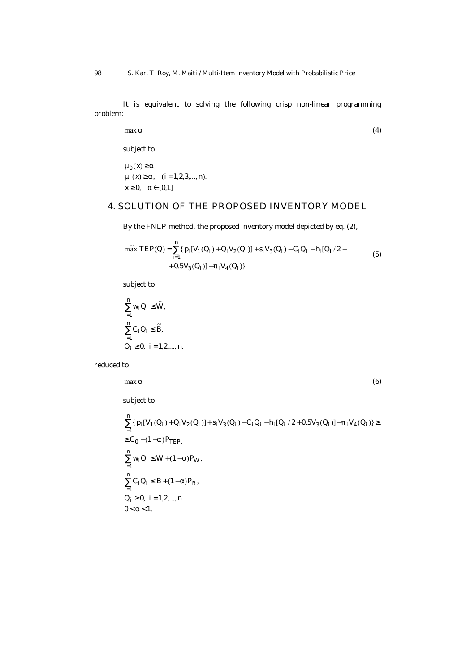It is equivalent to solving the following crisp non-linear programming problem:

$$
\max \mathbf{a} \tag{4}
$$

subject to

 $x \ge 0$ ,  $a \in [0, 1]$  $m_i(x) \ge a, \quad (i = 1, 2, 3, ..., n).$  $m_0(x) \ge a$ ,

## 4. SOLUTION OF THE PROPOSED INVENTORY MODEL

By the FNLP method, the proposed inventory model depicted by eq. (2),

$$
\begin{aligned}\n&\text{max} \ \text{TEP}(Q) = \sum_{i=1}^{n} \{ p_i [V_1(Q_i) + Q_i V_2(Q_i)] + s_i V_3(Q_i) - C_i Q_i - h_i [Q_i / 2 + \\ &+ 0.5 V_3(Q_i)] - p_i V_4(Q_i) \}\n\end{aligned} \tag{5}
$$

subject to

$$
\sum_{i=1}^{n} w_i Q_i \le \widetilde{W},
$$
  

$$
\sum_{i=1}^{n} C_i Q_i \le \widetilde{B},
$$
  

$$
Q_i \ge 0, i = 1, 2, ..., n.
$$

reduced to

$$
\max \mathbf{a} \tag{6}
$$

subject to

$$
\begin{aligned} &\sum_{i=1}^n \{ \, p_i[V_1(Q_i)+Q_iV_2(Q_i)]+s_iV_3(Q_i)-C_1Q_i-h_i[Q_i\ /\ 2+0.5V_3(Q_i)]-&\pmb{p}_iV_4(Q_i) \}\geq\\ &\geq C_0-(1-a)P_{TEP},\\ &\sum_{i=1}^n w_iQ_i\leq W+(1-\alpha)P_W\,,\\ &\sum_{i=1}^n C_iQ_i\leq B+(1-\alpha)P_B\,,\\ &Q_i\geq 0,\ \ i=1,2,...,n\\ &0<\alpha<1. \end{aligned}
$$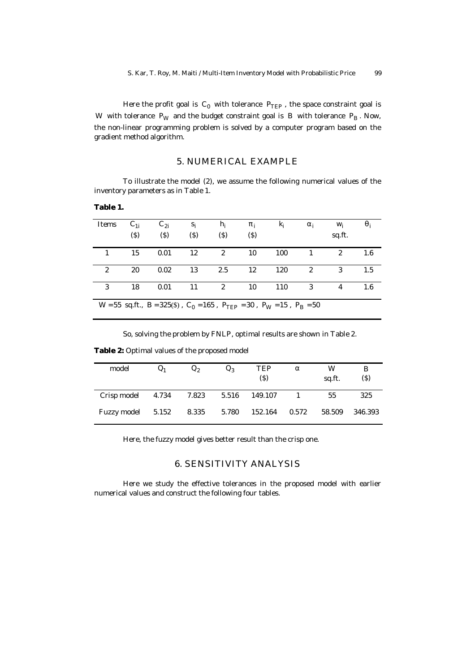Here the profit goal is  $C_0$  with tolerance  $P_{\mathsf{TEP}}$  , the space constraint goal is W with tolerance  $P_W$  and the budget constraint goal is B with tolerance  $P_B$ . Now, the non-linear programming problem is solved by a computer program based on the gradient method algorithm.

### 5. NUMERICAL EXAMPLE

To illustrate the model (2), we assume the following numerical values of the inventory parameters as in Table 1.

#### **Table 1.**

| Items                                                                                                             | $C_{1i}$<br>(3) | $C_{2i}$<br>$($ \$) | $S_i$<br>$($ \$) | $h_i$<br>$($ \$) | $\boldsymbol{p}_i$<br>(3) | $K_i$ | $a_i$          | W <sub>i</sub><br>sq.ft. | $q_i$ |
|-------------------------------------------------------------------------------------------------------------------|-----------------|---------------------|------------------|------------------|---------------------------|-------|----------------|--------------------------|-------|
|                                                                                                                   | 15              | 0.01                | 12               | $\overline{2}$   | 10                        | 100   | $\overline{1}$ | $\mathcal{P}$            | 1.6   |
| 2                                                                                                                 | 20              | 0.02                | 13               | 2.5              | 12                        | 120   | $\overline{2}$ | 3                        | 1.5   |
| 3                                                                                                                 | 18              | 0.01                | 11               | $\overline{2}$   | 10                        | 110   | $\overline{3}$ | 4                        | 1.6   |
| W = 55 sq.ft., B = 325(\$), C <sub>0</sub> = 165, P <sub>TEP</sub> = 30, P <sub>W</sub> = 15, P <sub>B</sub> = 50 |                 |                     |                  |                  |                           |       |                |                          |       |

So, solving the problem by FNLP, optimal results are shown in Table 2.

**Table 2:** Optimal values of the proposed model

| model       |       | Q <sub>2</sub> | $Q_{2}$ | TEP<br>(\$) | a     | W<br>sq.ft. | В<br>(3) |
|-------------|-------|----------------|---------|-------------|-------|-------------|----------|
| Crisp model | 4.734 | 7.823          | 5.516   | 149.107     |       | 55          | 325      |
| Fuzzy model | 5.152 | 8.335          | 5.780   | 152.164     | 0.572 | 58.509      | 346.393  |

Here, the fuzzy model gives better result than the crisp one.

### 6. SENSITIVITY ANALYSIS

Here we study the effective tolerances in the proposed model with earlier numerical values and construct the following four tables.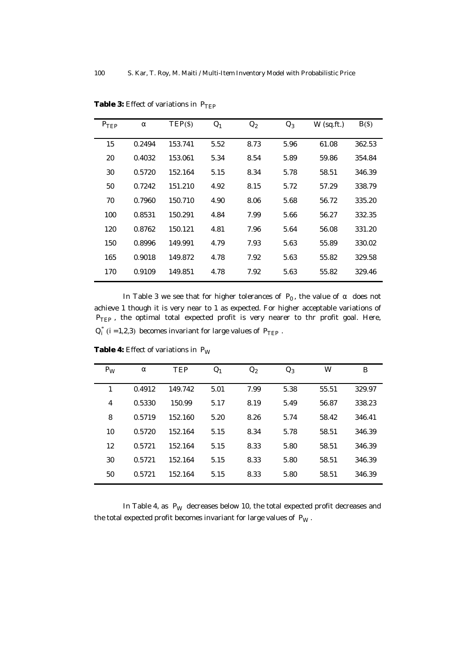| $P_{\text{TEP}}$ | a      | $TEP(\$)$ | O <sub>1</sub> | $Q_2$ | $Q_3$ | $W$ (sq.ft.) | B()    |
|------------------|--------|-----------|----------------|-------|-------|--------------|--------|
| 15               | 0.2494 | 153.741   | 5.52           | 8.73  | 5.96  | 61.08        | 362.53 |
| 20               | 0.4032 | 153.061   | 5.34           | 8.54  | 5.89  | 59.86        | 354.84 |
| 30               | 0.5720 | 152.164   | 5.15           | 8.34  | 5.78  | 58.51        | 346.39 |
| 50               | 0.7242 | 151.210   | 4.92           | 8.15  | 5.72  | 57.29        | 338.79 |
| 70               | 0.7960 | 150.710   | 4.90           | 8.06  | 5.68  | 56.72        | 335.20 |
| 100              | 0.8531 | 150.291   | 4.84           | 7.99  | 5.66  | 56.27        | 332.35 |
| 120              | 0.8762 | 150.121   | 4.81           | 7.96  | 5.64  | 56.08        | 331.20 |
| 150              | 0.8996 | 149.991   | 4.79           | 7.93  | 5.63  | 55.89        | 330.02 |
| 165              | 0.9018 | 149.872   | 4.78           | 7.92  | 5.63  | 55.82        | 329.58 |
| 170              | 0.9109 | 149.851   | 4.78           | 7.92  | 5.63  | 55.82        | 329.46 |

**Table 3:** Effect of variations in P<sub>TEP</sub>

In Table 3 we see that for higher tolerances of P<sub>0</sub>, the value of a does not achieve 1 though it is very near to 1 as expected. For higher acceptable variations of P<sub>TEP</sub>, the optimal total expected profit is very nearer to thr profit goal. Here,  $Q_i^*$  (i = 1,2,3) becomes invariant for large values of  $P_{\text{TEP}}$ .

| $P_W$ | a      | <b>TEP</b> | $Q_1$ | $Q_2$ | $Q_3$ | W     | B      |
|-------|--------|------------|-------|-------|-------|-------|--------|
| 1     | 0.4912 | 149.742    | 5.01  | 7.99  | 5.38  | 55.51 | 329.97 |
| 4     | 0.5330 | 150.99     | 5.17  | 8.19  | 5.49  | 56.87 | 338.23 |
| 8     | 0.5719 | 152.160    | 5.20  | 8.26  | 5.74  | 58.42 | 346.41 |
| 10    | 0.5720 | 152.164    | 5.15  | 8.34  | 5.78  | 58.51 | 346.39 |
| 12    | 0.5721 | 152.164    | 5.15  | 8.33  | 5.80  | 58.51 | 346.39 |
| 30    | 0.5721 | 152.164    | 5.15  | 8.33  | 5.80  | 58.51 | 346.39 |
| 50    | 0.5721 | 152.164    | 5.15  | 8.33  | 5.80  | 58.51 | 346.39 |

**Table 4:** Effect of variations in P<sub>W</sub>

In Table 4, as  $P_W$  decreases below 10, the total expected profit decreases and the total expected profit becomes invariant for large values of  $P_W$ .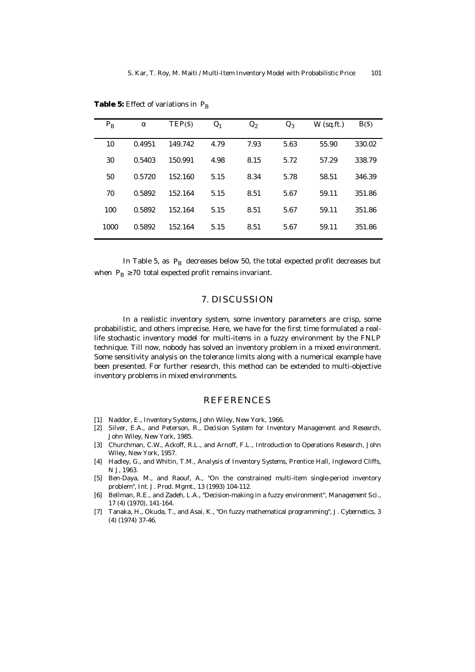| $P_{B}$ | a      | $TEP(\$)$ | Q <sub>1</sub> | $Q_2$ | $Q_3$ | $W$ (sq.ft.) | B()    |
|---------|--------|-----------|----------------|-------|-------|--------------|--------|
| 10      | 0.4951 | 149.742   | 4.79           | 7.93  | 5.63  | 55.90        | 330.02 |
| 30      | 0.5403 | 150.991   | 4.98           | 8.15  | 5.72  | 57.29        | 338.79 |
| 50      | 0.5720 | 152.160   | 5.15           | 8.34  | 5.78  | 58.51        | 346.39 |
| 70      | 0.5892 | 152.164   | 5.15           | 8.51  | 5.67  | 59.11        | 351.86 |
| 100     | 0.5892 | 152.164   | 5.15           | 8.51  | 5.67  | 59.11        | 351.86 |
| 1000    | 0.5892 | 152.164   | 5.15           | 8.51  | 5.67  | 59.11        | 351.86 |

**Table 5:** Effect of variations in P<sub>B</sub>

In Table 5, as  $P_B$  decreases below 50, the total expected profit decreases but when  $P_B \ge 70$  total expected profit remains invariant.

### 7. DISCUSSION

In a realistic inventory system, some inventory parameters are crisp, some probabilistic, and others imprecise. Here, we have for the first time formulated a reallife stochastic inventory model for multi-items in a fuzzy environment by the FNLP technique. Till now, nobody has solved an inventory problem in a mixed environment. Some sensitivity analysis on the tolerance limits along with a numerical example have been presented. For further research, this method can be extended to multi-objective inventory problems in mixed environments.

## REFERENCES

- [1] Naddor, E., Inventory Systems, John Wiley, New York, 1966.
- [2] Silver, E.A., and Peterson, R., Decision System for Inventory Management and Research, John Wiley, New York, 1985.
- [3] Churchman, C.W., Ackoff, R.L., and Arnoff, F.L., Introduction to Operations Research, John Wiley, New York, 1957.
- [4] Hadley, G., and Whitin, T.M., Analysis of Inventory Systems, Prentice Hall, Ingleword Cliffs, N J, 1963.
- [5] Ben-Daya, M., and Raouf, A., "On the constrained multi-item single-period inventory problem", Int. J. Prod. Mgmt., 13 (1993) 104-112.
- [6] Bellman, R.E., and Zadeh, L.A., "Decision-making in a fuzzy environment", Management Sci., 17 (4) (1970), 141-164.
- [7] Tanaka, H., Okuda, T., and Asai, K., "On fuzzy mathematical programming", J. Cybernetics, 3 (4) (1974) 37-46.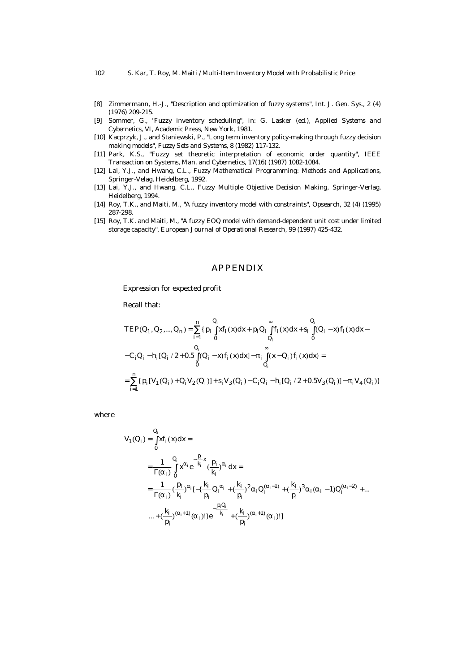#### 102 S. Kar, T. Roy, M. Maiti / Multi-Item Inventory Model with Probabilistic Price

- [8] Zimmermann, H.-J., "Description and optimization of fuzzy systems", Int. J. Gen. Sys., 2 (4) (1976) 209-215.
- [9] Sommer, G., "Fuzzy inventory scheduling", in: G. Lasker (ed.), Applied Systems and Cybernetics, VI, Academic Press, New York, 1981.
- [10] Kacprzyk, J., and Staniewski, P., "Long term inventory policy-making through fuzzy decision making models", Fuzzy Sets and Systems, 8 (1982) 117-132.
- [11] Park, K.S., "Fuzzy set theoretic interpretation of economic order quantity", IEEE Transaction on Systems, Man. and Cybernetics, 17(16) (1987) 1082-1084.
- [12] Lai, Y.J., and Hwang, C.L., Fuzzy Mathematical Programming: Methods and Applications, Springer-Velag, Heidelberg, 1992.
- [13] Lai, Y.J., and Hwang, C.L., Fuzzy Multiple Objective Decision Making, Springer-Verlag, Heidelberg, 1994.
- [14] Roy, T.K., and Maiti, M., *"*A fuzzy inventory model with constraints", Opsearch, 32 (4) (1995) 287-298.
- [15] Roy, T.K. and Maiti, M., "A fuzzy EOQ model with demand-dependent unit cost under limited storage capacity", European Journal of Operational Research, 99 (1997) 425-432.

## APPENDIX

Expression for expected profit

Recall that:

$$
\begin{split} &\mathsf{TEP}(Q_1, Q_2, ..., Q_n) = \sum_{i=1}^n \{p_i \int_0^{Q_i} x f_i(x) dx + p_i Q_i \int_{Q_i}^{\infty} f_i(x) dx + s_i \int_0^{Q_i} (Q_i - x) f_i(x) dx - \\ &- C_i Q_i - h_i [Q_i / 2 + 0.5 \int_0^{Q_i} (Q_i - x) f_i(x) dx] - \pi_i \int_{Q_i}^{\infty} (x - Q_i) f_i(x) dx \} = \\ &= \sum_{i=1}^n \{p_i [V_1(Q_i) + Q_i V_2(Q_i)] + s_i V_3(Q_i) - C_i Q_i - h_i [Q_i / 2 + 0.5 V_3(Q_i)] - \pi_i V_4(Q_i)\} \end{split}
$$

where

$$
V_{1}(Q_{i}) = \int_{0}^{Q_{i}} xf_{i}(x)dx =
$$
\n
$$
= \frac{1}{\Gamma(a_{i})} \int_{0}^{Q_{i}} x^{a_{i}} e^{-\frac{p_{i}}{k_{i}}} (\frac{p_{i}}{k_{i}})^{a_{i}} dx =
$$
\n
$$
= \frac{1}{\Gamma(a_{i})} (\frac{p_{i}}{k_{i}})^{a_{i}} [-\{\frac{k_{i}}{p_{i}}Q_{i}^{a_{i}} + (\frac{k_{i}}{p_{i}})^{2}a_{i}Q_{i}^{(a_{i}-1)} + (\frac{k_{i}}{p_{i}})^{3}a_{i}(a_{i}-1)Q_{i}^{(a_{i}-2)} + ... + (\frac{k_{i}}{p_{i}})^{(a_{i}+1)}(a_{i})! \}e^{-\frac{p_{i}Q_{i}}{k_{i}}} + (\frac{k_{i}}{p_{i}})^{(a_{i}+1)}(a_{i})!]
$$